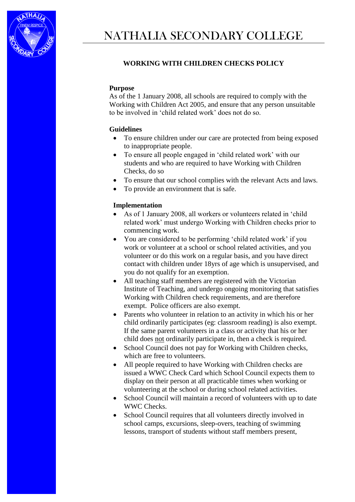

## **WORKING WITH CHILDREN CHECKS POLICY**

## **Purpose**

As of the 1 January 2008, all schools are required to comply with the Working with Children Act 2005, and ensure that any person unsuitable to be involved in 'child related work' does not do so.

## **Guidelines**

- To ensure children under our care are protected from being exposed to inappropriate people.
- To ensure all people engaged in 'child related work' with our students and who are required to have Working with Children Checks, do so
- To ensure that our school complies with the relevant Acts and laws.
- To provide an environment that is safe.

## **Implementation**

- As of 1 January 2008, all workers or volunteers related in 'child related work' must undergo Working with Children checks prior to commencing work.
- You are considered to be performing 'child related work' if you work or volunteer at a school or school related activities, and you volunteer or do this work on a regular basis, and you have direct contact with children under 18yrs of age which is unsupervised, and you do not qualify for an exemption.
- All teaching staff members are registered with the Victorian Institute of Teaching, and undergo ongoing monitoring that satisfies Working with Children check requirements, and are therefore exempt. Police officers are also exempt.
- Parents who volunteer in relation to an activity in which his or her child ordinarily participates (eg: classroom reading) is also exempt. If the same parent volunteers in a class or activity that his or her child does not ordinarily participate in, then a check is required.
- School Council does not pay for Working with Children checks, which are free to volunteers.
- All people required to have Working with Children checks are issued a WWC Check Card which School Council expects them to display on their person at all practicable times when working or volunteering at the school or during school related activities.
- School Council will maintain a record of volunteers with up to date WWC Checks.
- School Council requires that all volunteers directly involved in school camps, excursions, sleep-overs, teaching of swimming lessons, transport of students without staff members present,